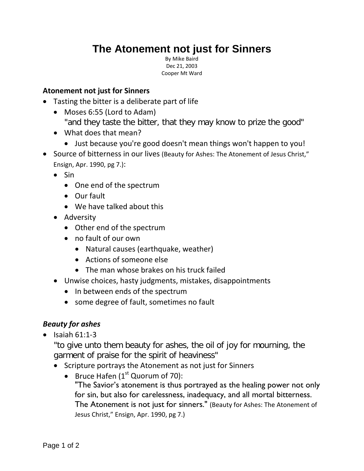# **The Atonement not just for Sinners**

By Mike Baird Dec 21, 2003 Cooper Mt Ward

#### **Atonement not just for Sinners**

- Tasting the bitter is a deliberate part of life
	- Moses 6:55 (Lord to Adam)
		- "and they taste the bitter, that they may know to prize the good"
	- What does that mean?
		- Just because you're good doesn't mean things won't happen to you!
- Source of bitterness in our lives (Beauty for Ashes: The Atonement of Jesus Christ," Ensign, Apr. 1990, pg 7.):
	- Sin
		- One end of the spectrum
		- Our fault
		- We have talked about this
	- Adversity
		- Other end of the spectrum
		- no fault of our own
			- Natural causes (earthquake, weather)
			- Actions of someone else
			- The man whose brakes on his truck failed
	- Unwise choices, hasty judgments, mistakes, disappointments
		- In between ends of the spectrum
		- some degree of fault, sometimes no fault

## *Beauty for ashes*

 $\bullet$  Isaiah 61:1-3

"to give unto them beauty for ashes, the oil of joy for mourning, the garment of praise for the spirit of heaviness"

- Scripture portrays the Atonement as not just for Sinners
	- Bruce Hafen  $(1<sup>st</sup>$  Quorum of 70): "The Savior's atonement is thus portrayed as the healing power not only for sin, but also for carelessness, inadequacy, and all mortal bitterness. The Atonement is not just for sinners." (Beauty for Ashes: The Atonement of Jesus Christ," Ensign, Apr. 1990, pg 7.)